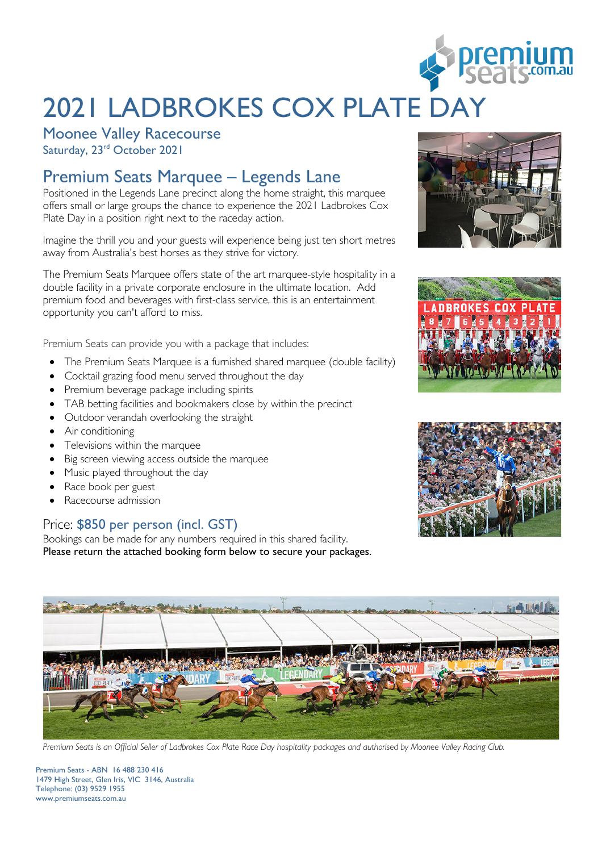

# 2021 LADBROKES COX PLATE DA

Moonee Valley Racecourse

Saturday, 23<sup>rd</sup> October 2021

### Premium Seats Marquee – Legends Lane

Positioned in the Legends Lane precinct along the home straight, this marquee offers small or large groups the chance to experience the 2021 Ladbrokes Cox Plate Day in a position right next to the raceday action.

Imagine the thrill you and your guests will experience being just ten short metres away from Australia's best horses as they strive for victory.

The Premium Seats Marquee offers state of the art marquee-style hospitality in a double facility in a private corporate enclosure in the ultimate location. Add premium food and beverages with first-class service, this is an entertainment opportunity you can't afford to miss.

Premium Seats can provide you with a package that includes:

- The Premium Seats Marquee is a furnished shared marquee (double facility)
- Cocktail grazing food menu served throughout the day
- Premium beverage package including spirits
- TAB betting facilities and bookmakers close by within the precinct
- Outdoor verandah overlooking the straight
- Air conditioning
- Televisions within the marquee
- Big screen viewing access outside the marquee
- Music played throughout the day
- Race book per guest
- Racecourse admission

### Price: \$850 per person (incl. GST)

Bookings can be made for any numbers required in this shared facility. Please return the attached booking form below to secure your packages.









*Premium Seats is an Official Seller of Ladbrokes Cox Plate Race Day hospitality packages and authorised by Moonee Valley Racing Club.*

Premium Seats - ABN 16 488 230 416 1479 High Street, Glen Iris, VIC 3146, Australia Telephone: (03) 9529 1955 www.premiumseats.com.au